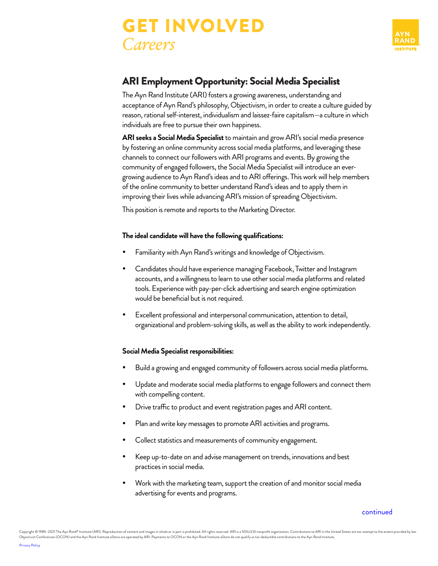



# ARI Employment Opportunity: Social Media Specialist

The Ayn Rand Institute (ARI) fosters a growing awareness, understanding and acceptance of Ayn Rand's philosophy, Objectivism, in order to create a culture guided by reason, rational self-interest, individualism and laissez-faire capitalism—a culture in which individuals are free to pursue their own happiness.

**ARI seeks a Social Media Specialist** to maintain and grow ARI's social media presence by fostering an online community across social media platforms, and leveraging these channels to connect our followers with ARI programs and events. By growing the community of engaged followers, the Social Media Specialist will introduce an evergrowing audience to Ayn Rand's ideas and to ARI offerings. This work will help members of the online community to better understand Rand's ideas and to apply them in improving their lives while advancing ARI's mission of spreading Objectivism.

This position is remote and reports to the Marketing Director.

### **The ideal candidate will have the following qualifications:**

- Familiarity with Ayn Rand's writings and knowledge of Objectivism.
- Candidates should have experience managing Facebook, Twitter and Instagram accounts, and a willingness to learn to use other social media platforms and related tools. Experience with pay-per-click advertising and search engine optimization would be beneficial but is not required.
- Excellent professional and interpersonal communication, attention to detail, organizational and problem-solving skills, as well as the ability to work independently.

## **Social Media Specialist responsibilities:**

- Build a growing and engaged community of followers across social media platforms.
- Update and moderate social media platforms to engage followers and connect them with compelling content.
- Drive traffic to product and event registration pages and ARI content.
- Plan and write key messages to promote ARI activities and programs.
- Collect statistics and measurements of community engagement.
- Keep up-to-date on and advise management on trends, innovations and best practices in social media.
- Work with the marketing team, support the creation of and monitor social media advertising for events and programs.

#### [continued](#page-1-0)

Copyright © 1985–2021 The Ayn Rand® Institute (ARI). Reproduction of content and images in whole or in part is prohibited. All rights reserved. ARI is a 501(c)(3) nonprofit organization. Contributions to ARI in the United